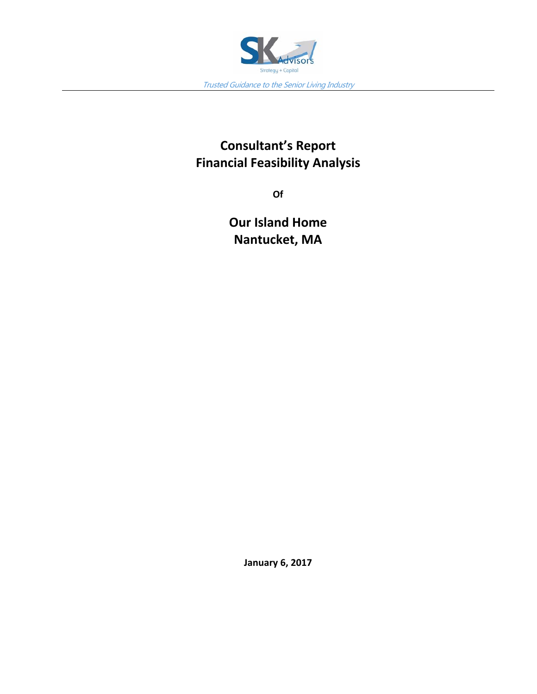

## **Consultant's Report Financial Feasibility Analysis**

**Of** 

**Our Island Home Nantucket, MA** 

**January 6, 2017**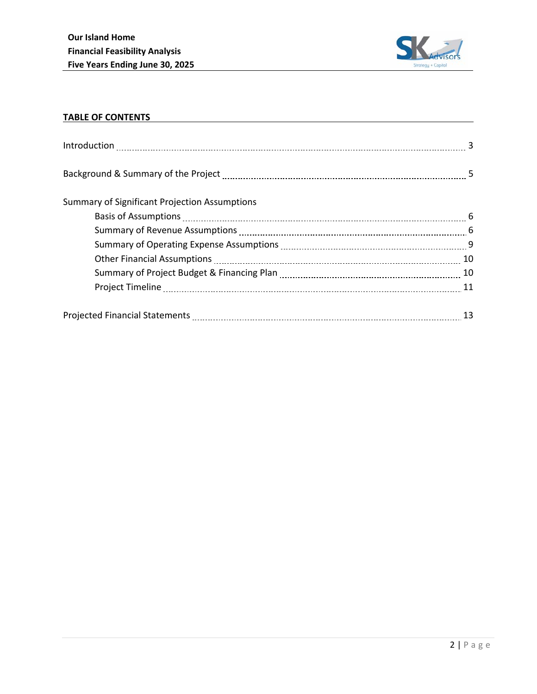

## **TABLE OF CONTENTS**

| <b>Summary of Significant Projection Assumptions</b> |    |
|------------------------------------------------------|----|
|                                                      |    |
|                                                      |    |
|                                                      |    |
|                                                      |    |
|                                                      |    |
|                                                      |    |
|                                                      | 13 |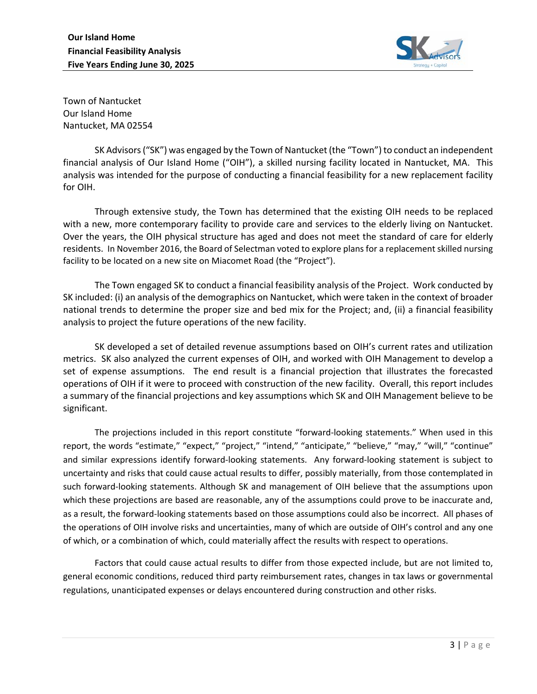

Town of Nantucket Our Island Home Nantucket, MA 02554

SK Advisors ("SK") was engaged by the Town of Nantucket (the "Town") to conduct an independent financial analysis of Our Island Home ("OIH"), a skilled nursing facility located in Nantucket, MA. This analysis was intended for the purpose of conducting a financial feasibility for a new replacement facility for OIH.

Through extensive study, the Town has determined that the existing OIH needs to be replaced with a new, more contemporary facility to provide care and services to the elderly living on Nantucket. Over the years, the OIH physical structure has aged and does not meet the standard of care for elderly residents. In November 2016, the Board of Selectman voted to explore plans for a replacement skilled nursing facility to be located on a new site on Miacomet Road (the "Project").

The Town engaged SK to conduct a financial feasibility analysis of the Project. Work conducted by SK included: (i) an analysis of the demographics on Nantucket, which were taken in the context of broader national trends to determine the proper size and bed mix for the Project; and, (ii) a financial feasibility analysis to project the future operations of the new facility.

SK developed a set of detailed revenue assumptions based on OIH's current rates and utilization metrics. SK also analyzed the current expenses of OIH, and worked with OIH Management to develop a set of expense assumptions. The end result is a financial projection that illustrates the forecasted operations of OIH if it were to proceed with construction of the new facility. Overall, this report includes a summary of the financial projections and key assumptions which SK and OIH Management believe to be significant.

The projections included in this report constitute "forward-looking statements." When used in this report, the words "estimate," "expect," "project," "intend," "anticipate," "believe," "may," "will," "continue" and similar expressions identify forward-looking statements. Any forward-looking statement is subject to uncertainty and risks that could cause actual results to differ, possibly materially, from those contemplated in such forward-looking statements. Although SK and management of OIH believe that the assumptions upon which these projections are based are reasonable, any of the assumptions could prove to be inaccurate and, as a result, the forward‐looking statements based on those assumptions could also be incorrect. All phases of the operations of OIH involve risks and uncertainties, many of which are outside of OIH's control and any one of which, or a combination of which, could materially affect the results with respect to operations.

Factors that could cause actual results to differ from those expected include, but are not limited to, general economic conditions, reduced third party reimbursement rates, changes in tax laws or governmental regulations, unanticipated expenses or delays encountered during construction and other risks.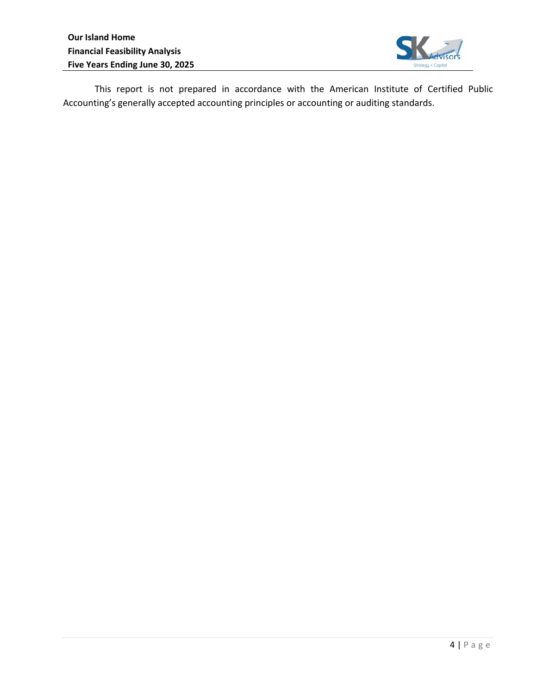

This report is not prepared in accordance with the American Institute of Certified Public Accounting's generally accepted accounting principles or accounting or auditing standards.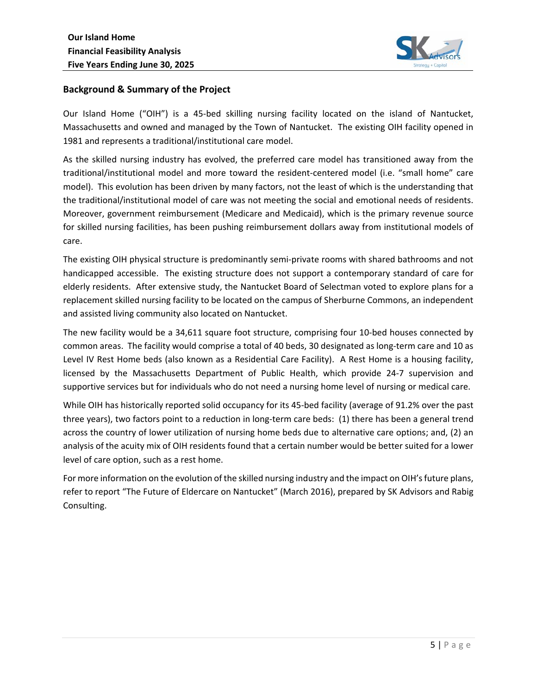

## **Background & Summary of the Project**

Our Island Home ("OIH") is a 45-bed skilling nursing facility located on the island of Nantucket, Massachusetts and owned and managed by the Town of Nantucket. The existing OIH facility opened in 1981 and represents a traditional/institutional care model.

As the skilled nursing industry has evolved, the preferred care model has transitioned away from the traditional/institutional model and more toward the resident‐centered model (i.e. "small home" care model). This evolution has been driven by many factors, not the least of which is the understanding that the traditional/institutional model of care was not meeting the social and emotional needs of residents. Moreover, government reimbursement (Medicare and Medicaid), which is the primary revenue source for skilled nursing facilities, has been pushing reimbursement dollars away from institutional models of care.

The existing OIH physical structure is predominantly semi‐private rooms with shared bathrooms and not handicapped accessible. The existing structure does not support a contemporary standard of care for elderly residents. After extensive study, the Nantucket Board of Selectman voted to explore plans for a replacement skilled nursing facility to be located on the campus of Sherburne Commons, an independent and assisted living community also located on Nantucket.

The new facility would be a 34,611 square foot structure, comprising four 10‐bed houses connected by common areas. The facility would comprise a total of 40 beds, 30 designated as long-term care and 10 as Level IV Rest Home beds (also known as a Residential Care Facility). A Rest Home is a housing facility, licensed by the Massachusetts Department of Public Health, which provide 24-7 supervision and supportive services but for individuals who do not need a nursing home level of nursing or medical care.

While OIH has historically reported solid occupancy for its 45‐bed facility (average of 91.2% over the past three years), two factors point to a reduction in long‐term care beds: (1) there has been a general trend across the country of lower utilization of nursing home beds due to alternative care options; and, (2) an analysis of the acuity mix of OIH residents found that a certain number would be better suited for a lower level of care option, such as a rest home.

For more information on the evolution of the skilled nursing industry and the impact on OIH's future plans, refer to report "The Future of Eldercare on Nantucket" (March 2016), prepared by SK Advisors and Rabig Consulting.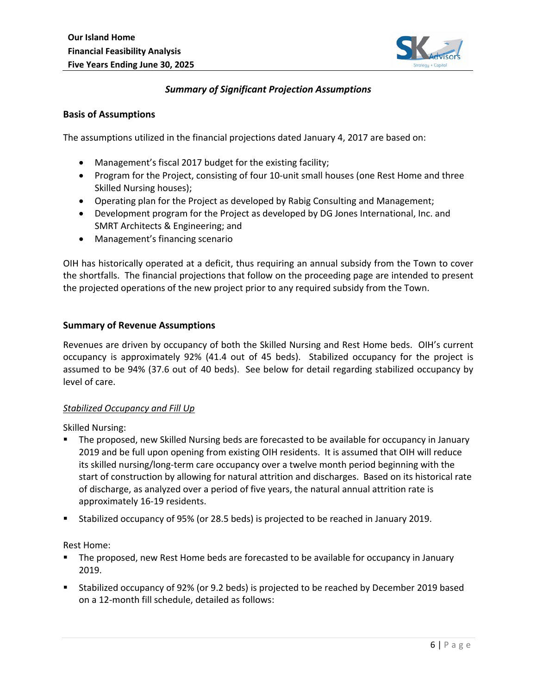

## *Summary of Significant Projection Assumptions*

#### **Basis of Assumptions**

The assumptions utilized in the financial projections dated January 4, 2017 are based on:

- Management's fiscal 2017 budget for the existing facility;
- Program for the Project, consisting of four 10-unit small houses (one Rest Home and three Skilled Nursing houses);
- Operating plan for the Project as developed by Rabig Consulting and Management;
- Development program for the Project as developed by DG Jones International, Inc. and SMRT Architects & Engineering; and
- Management's financing scenario

OIH has historically operated at a deficit, thus requiring an annual subsidy from the Town to cover the shortfalls. The financial projections that follow on the proceeding page are intended to present the projected operations of the new project prior to any required subsidy from the Town.

#### **Summary of Revenue Assumptions**

Revenues are driven by occupancy of both the Skilled Nursing and Rest Home beds. OIH's current occupancy is approximately 92% (41.4 out of 45 beds). Stabilized occupancy for the project is assumed to be 94% (37.6 out of 40 beds). See below for detail regarding stabilized occupancy by level of care.

#### *Stabilized Occupancy and Fill Up*

Skilled Nursing:

- The proposed, new Skilled Nursing beds are forecasted to be available for occupancy in January 2019 and be full upon opening from existing OIH residents. It is assumed that OIH will reduce its skilled nursing/long‐term care occupancy over a twelve month period beginning with the start of construction by allowing for natural attrition and discharges. Based on its historical rate of discharge, as analyzed over a period of five years, the natural annual attrition rate is approximately 16‐19 residents.
- Stabilized occupancy of 95% (or 28.5 beds) is projected to be reached in January 2019.

Rest Home:

- The proposed, new Rest Home beds are forecasted to be available for occupancy in January 2019.
- Stabilized occupancy of 92% (or 9.2 beds) is projected to be reached by December 2019 based on a 12‐month fill schedule, detailed as follows: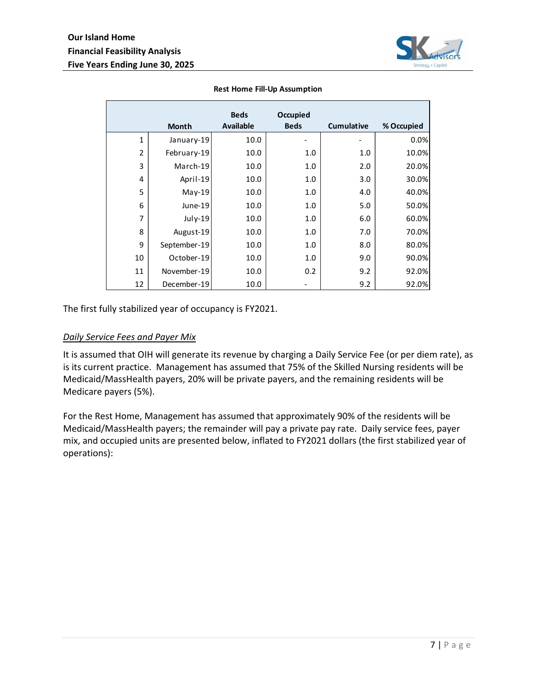

|                | <b>Month</b> | <b>Beds</b><br><b>Available</b> | Occupied<br><b>Beds</b> | <b>Cumulative</b> | % Occupied |
|----------------|--------------|---------------------------------|-------------------------|-------------------|------------|
| 1              | January-19   | 10.0                            |                         |                   | 0.0%       |
| $\overline{2}$ | February-19  | 10.0                            | 1.0                     | 1.0               | 10.0%      |
| 3              | March-19     | 10.0                            | 1.0                     | 2.0               | 20.0%      |
| 4              | April-19     | 10.0                            | 1.0                     | 3.0               | 30.0%      |
| 5              | $May-19$     | 10.0                            | 1.0                     | 4.0               | 40.0%      |
| 6              | June-19      | 10.0                            | 1.0                     | 5.0               | 50.0%      |
| 7              | July-19      | 10.0                            | 1.0                     | 6.0               | 60.0%      |
| 8              | August-19    | 10.0                            | 1.0                     | 7.0               | 70.0%      |
| 9              | September-19 | 10.0                            | 1.0                     | 8.0               | 80.0%      |
| 10             | October-19   | 10.0                            | 1.0                     | 9.0               | 90.0%      |
| 11             | November-19  | 10.0                            | 0.2                     | 9.2               | 92.0%      |
| 12             | December-19  | 10.0                            |                         | 9.2               | 92.0%      |

#### **Rest Home Fill‐Up Assumption**

The first fully stabilized year of occupancy is FY2021.

#### *Daily Service Fees and Payer Mix*

It is assumed that OIH will generate its revenue by charging a Daily Service Fee (or per diem rate), as is its current practice. Management has assumed that 75% of the Skilled Nursing residents will be Medicaid/MassHealth payers, 20% will be private payers, and the remaining residents will be Medicare payers (5%).

For the Rest Home, Management has assumed that approximately 90% of the residents will be Medicaid/MassHealth payers; the remainder will pay a private pay rate. Daily service fees, payer mix, and occupied units are presented below, inflated to FY2021 dollars (the first stabilized year of operations):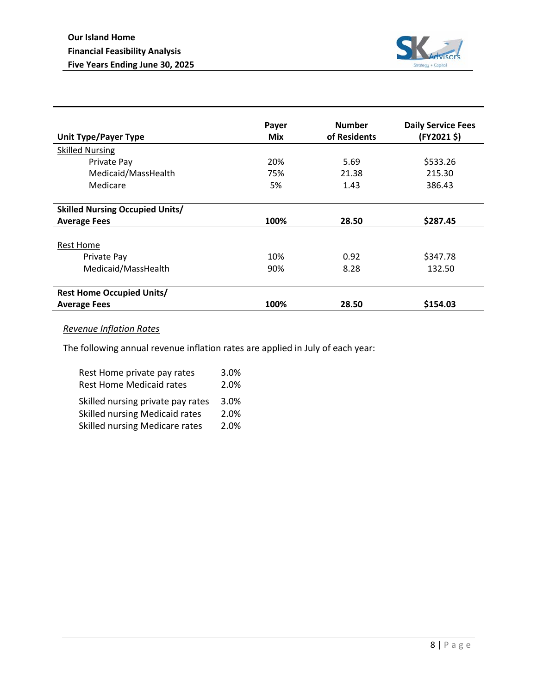

| <b>Unit Type/Payer Type</b>            | Payer<br>Mix | <b>Number</b><br>of Residents | <b>Daily Service Fees</b><br>(FY2021\$) |  |
|----------------------------------------|--------------|-------------------------------|-----------------------------------------|--|
| <b>Skilled Nursing</b>                 |              |                               |                                         |  |
| Private Pay                            | 20%          | 5.69                          | \$533.26                                |  |
| Medicaid/MassHealth                    | 75%          | 21.38                         | 215.30                                  |  |
| Medicare                               | 5%           | 386.43<br>1.43                |                                         |  |
| <b>Skilled Nursing Occupied Units/</b> |              |                               |                                         |  |
| <b>Average Fees</b>                    | 100%         | 28.50                         | \$287.45                                |  |
| <b>Rest Home</b>                       |              |                               |                                         |  |
| Private Pay                            | 10%          | 0.92                          | \$347.78                                |  |
| Medicaid/MassHealth                    | 90%          | 8.28                          | 132.50                                  |  |
| <b>Rest Home Occupied Units/</b>       |              |                               |                                         |  |
| <b>Average Fees</b>                    | 100%         | 28.50                         | \$154.03                                |  |

## *Revenue Inflation Rates*

The following annual revenue inflation rates are applied in July of each year:

| Rest Home private pay rates       | 3.0% |
|-----------------------------------|------|
| <b>Rest Home Medicaid rates</b>   | 2.0% |
| Skilled nursing private pay rates | 3.0% |
| Skilled nursing Medicaid rates    | 2.0% |
| Skilled nursing Medicare rates    | 2.0% |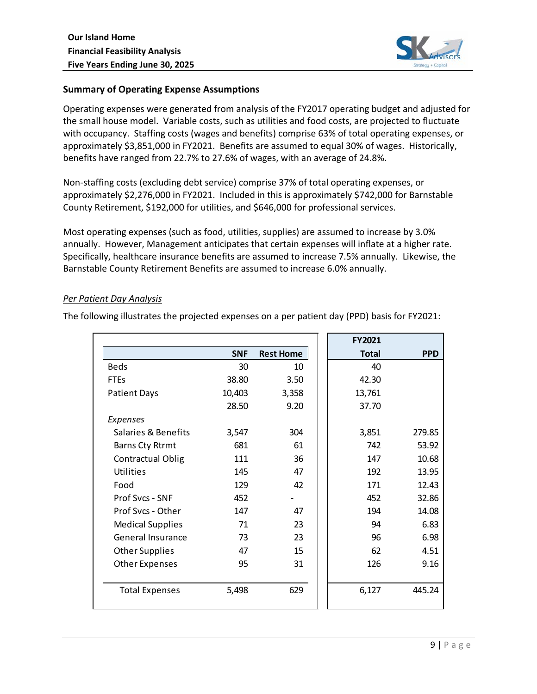

## **Summary of Operating Expense Assumptions**

Operating expenses were generated from analysis of the FY2017 operating budget and adjusted for the small house model. Variable costs, such as utilities and food costs, are projected to fluctuate with occupancy. Staffing costs (wages and benefits) comprise 63% of total operating expenses, or approximately \$3,851,000 in FY2021. Benefits are assumed to equal 30% of wages. Historically, benefits have ranged from 22.7% to 27.6% of wages, with an average of 24.8%.

Non‐staffing costs (excluding debt service) comprise 37% of total operating expenses, or approximately \$2,276,000 in FY2021. Included in this is approximately \$742,000 for Barnstable County Retirement, \$192,000 for utilities, and \$646,000 for professional services.

Most operating expenses (such as food, utilities, supplies) are assumed to increase by 3.0% annually. However, Management anticipates that certain expenses will inflate at a higher rate. Specifically, healthcare insurance benefits are assumed to increase 7.5% annually. Likewise, the Barnstable County Retirement Benefits are assumed to increase 6.0% annually.

#### *Per Patient Day Analysis*

The following illustrates the projected expenses on a per patient day (PPD) basis for FY2021:

|                          |            |                  | <b>FY2021</b> |            |
|--------------------------|------------|------------------|---------------|------------|
|                          | <b>SNF</b> | <b>Rest Home</b> | <b>Total</b>  | <b>PPD</b> |
| <b>Beds</b>              | 30         | 10               | 40            |            |
| <b>FTEs</b>              | 38.80      | 3.50             | 42.30         |            |
| <b>Patient Days</b>      | 10,403     | 3,358            | 13,761        |            |
|                          | 28.50      | 9.20             | 37.70         |            |
| Expenses                 |            |                  |               |            |
| Salaries & Benefits      | 3,547      | 304              | 3,851         | 279.85     |
| <b>Barns Cty Rtrmt</b>   | 681        | 61               | 742           | 53.92      |
| <b>Contractual Oblig</b> | 111        | 36               | 147           | 10.68      |
| Utilities                | 145        | 47               | 192           | 13.95      |
| Food                     | 129        | 42               | 171           | 12.43      |
| Prof Svcs - SNF          | 452        |                  | 452           | 32.86      |
| Prof Svcs - Other        | 147        | 47               | 194           | 14.08      |
| <b>Medical Supplies</b>  | 71         | 23               | 94            | 6.83       |
| General Insurance        | 73         | 23               | 96            | 6.98       |
| <b>Other Supplies</b>    | 47         | 15               | 62            | 4.51       |
| <b>Other Expenses</b>    | 95         | 31               | 126           | 9.16       |
|                          |            |                  |               |            |
| <b>Total Expenses</b>    | 5,498      | 629              | 6,127         | 445.24     |
|                          |            |                  |               |            |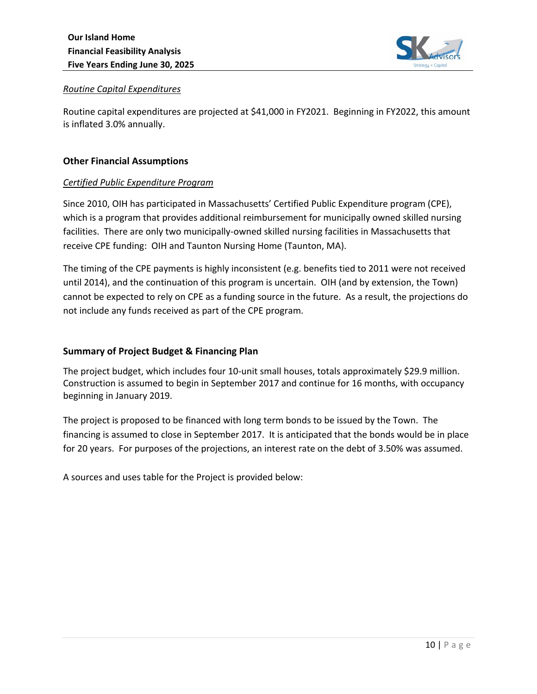

## *Routine Capital Expenditures*

Routine capital expenditures are projected at \$41,000 in FY2021. Beginning in FY2022, this amount is inflated 3.0% annually.

## **Other Financial Assumptions**

## *Certified Public Expenditure Program*

Since 2010, OIH has participated in Massachusetts' Certified Public Expenditure program (CPE), which is a program that provides additional reimbursement for municipally owned skilled nursing facilities. There are only two municipally‐owned skilled nursing facilities in Massachusetts that receive CPE funding: OIH and Taunton Nursing Home (Taunton, MA).

The timing of the CPE payments is highly inconsistent (e.g. benefits tied to 2011 were not received until 2014), and the continuation of this program is uncertain. OIH (and by extension, the Town) cannot be expected to rely on CPE as a funding source in the future. As a result, the projections do not include any funds received as part of the CPE program.

## **Summary of Project Budget & Financing Plan**

The project budget, which includes four 10-unit small houses, totals approximately \$29.9 million. Construction is assumed to begin in September 2017 and continue for 16 months, with occupancy beginning in January 2019.

The project is proposed to be financed with long term bonds to be issued by the Town. The financing is assumed to close in September 2017. It is anticipated that the bonds would be in place for 20 years. For purposes of the projections, an interest rate on the debt of 3.50% was assumed.

A sources and uses table for the Project is provided below: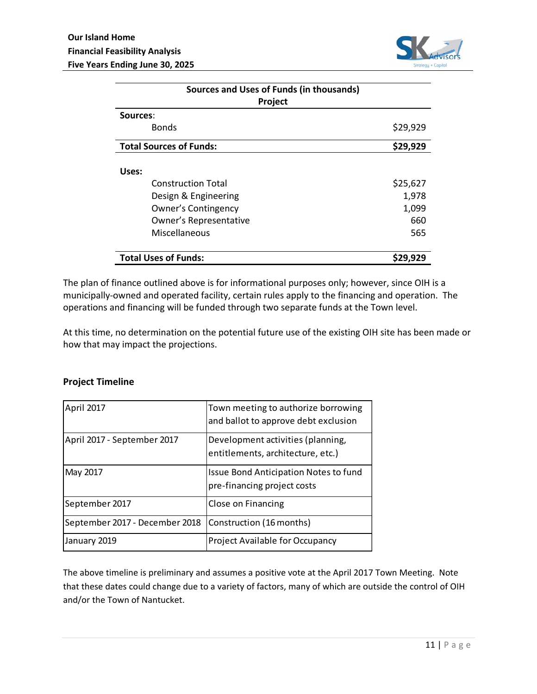

| <b>Sources and Uses of Funds (in thousands)</b> |          |  |  |
|-------------------------------------------------|----------|--|--|
| Project<br>Sources:                             |          |  |  |
| <b>Bonds</b>                                    | \$29,929 |  |  |
| <b>Total Sources of Funds:</b>                  | \$29,929 |  |  |
| Uses:                                           |          |  |  |
| <b>Construction Total</b>                       | \$25,627 |  |  |
| Design & Engineering                            | 1,978    |  |  |
| Owner's Contingency                             | 1,099    |  |  |
| Owner's Representative                          | 660      |  |  |
| Miscellaneous                                   | 565      |  |  |
| <b>Total Uses of Funds:</b>                     | \$29,929 |  |  |

The plan of finance outlined above is for informational purposes only; however, since OIH is a municipally‐owned and operated facility, certain rules apply to the financing and operation. The operations and financing will be funded through two separate funds at the Town level.

At this time, no determination on the potential future use of the existing OIH site has been made or how that may impact the projections.

#### **Project Timeline**

| April 2017                     | Town meeting to authorize borrowing<br>and ballot to approve debt exclusion |
|--------------------------------|-----------------------------------------------------------------------------|
| April 2017 - September 2017    | Development activities (planning,<br>entitlements, architecture, etc.)      |
| May 2017                       | Issue Bond Anticipation Notes to fund<br>pre-financing project costs        |
| September 2017                 | Close on Financing                                                          |
| September 2017 - December 2018 | Construction (16 months)                                                    |
| January 2019                   | Project Available for Occupancy                                             |

The above timeline is preliminary and assumes a positive vote at the April 2017 Town Meeting. Note that these dates could change due to a variety of factors, many of which are outside the control of OIH and/or the Town of Nantucket.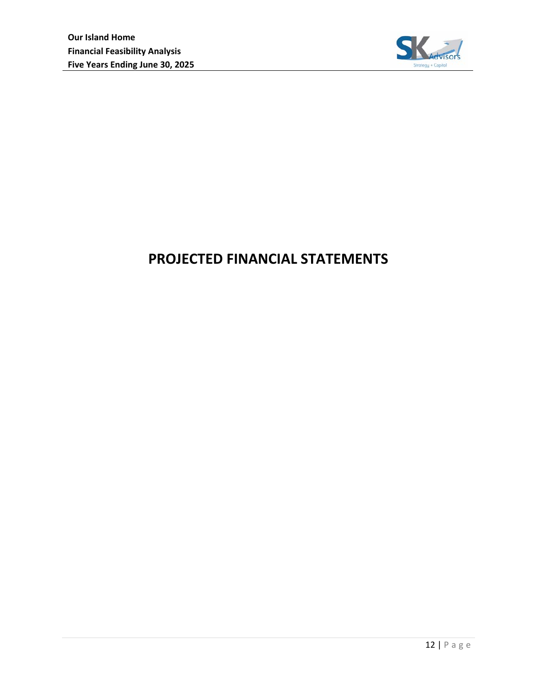

# **PROJECTED FINANCIAL STATEMENTS**